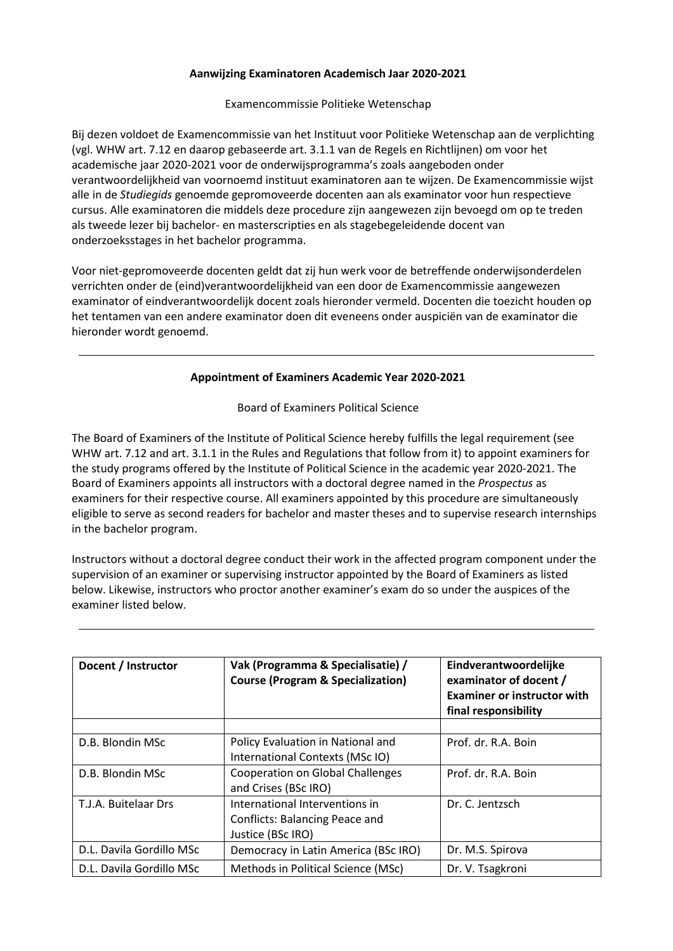## **Aanwijzing Examinatoren Academisch Jaar 2020-2021**

## Examencommissie Politieke Wetenschap

Bij dezen voldoet de Examencommissie van het Instituut voor Politieke Wetenschap aan de verplichting (vgl. WHW art. 7.12 en daarop gebaseerde art. 3.1.1 van de Regels en Richtlijnen) om voor het academische jaar 2020-2021 voor de onderwijsprogramma's zoals aangeboden onder verantwoordelijkheid van voornoemd instituut examinatoren aan te wijzen. De Examencommissie wijst alle in de *Studiegids* genoemde gepromoveerde docenten aan als examinator voor hun respectieve cursus. Alle examinatoren die middels deze procedure zijn aangewezen zijn bevoegd om op te treden als tweede lezer bij bachelor- en masterscripties en als stagebegeleidende docent van onderzoeksstages in het bachelor programma.

Voor niet-gepromoveerde docenten geldt dat zij hun werk voor de betreffende onderwijsonderdelen verrichten onder de (eind)verantwoordelijkheid van een door de Examencommissie aangewezen examinator of eindverantwoordelijk docent zoals hieronder vermeld. Docenten die toezicht houden op het tentamen van een andere examinator doen dit eveneens onder auspiciën van de examinator die hieronder wordt genoemd.

## **Appointment of Examiners Academic Year 2020-2021**

Board of Examiners Political Science

The Board of Examiners of the Institute of Political Science hereby fulfills the legal requirement (see WHW art. 7.12 and art. 3.1.1 in the Rules and Regulations that follow from it) to appoint examiners for the study programs offered by the Institute of Political Science in the academic year 2020-2021. The Board of Examiners appoints all instructors with a doctoral degree named in the *Prospectus* as examiners for their respective course. All examiners appointed by this procedure are simultaneously eligible to serve as second readers for bachelor and master theses and to supervise research internships in the bachelor program.

Instructors without a doctoral degree conduct their work in the affected program component under the supervision of an examiner or supervising instructor appointed by the Board of Examiners as listed below. Likewise, instructors who proctor another examiner's exam do so under the auspices of the examiner listed below.

| Docent / Instructor      | Vak (Programma & Specialisatie) /<br><b>Course (Program &amp; Specialization)</b> | Eindverantwoordelijke<br>examinator of docent /<br><b>Examiner or instructor with</b><br>final responsibility |
|--------------------------|-----------------------------------------------------------------------------------|---------------------------------------------------------------------------------------------------------------|
|                          |                                                                                   |                                                                                                               |
| D.B. Blondin MSc         | Policy Evaluation in National and                                                 | Prof. dr. R.A. Boin                                                                                           |
|                          | International Contexts (MSc IO)                                                   |                                                                                                               |
| D.B. Blondin MSc         | <b>Cooperation on Global Challenges</b>                                           | Prof. dr. R.A. Boin                                                                                           |
|                          | and Crises (BSc IRO)                                                              |                                                                                                               |
| T.J.A. Buitelaar Drs     | International Interventions in                                                    | Dr. C. Jentzsch                                                                                               |
|                          | <b>Conflicts: Balancing Peace and</b>                                             |                                                                                                               |
|                          | Justice (BSc IRO)                                                                 |                                                                                                               |
| D.L. Davila Gordillo MSc | Democracy in Latin America (BSc IRO)                                              | Dr. M.S. Spirova                                                                                              |
| D.L. Davila Gordillo MSc | Methods in Political Science (MSc)                                                | Dr. V. Tsagkroni                                                                                              |